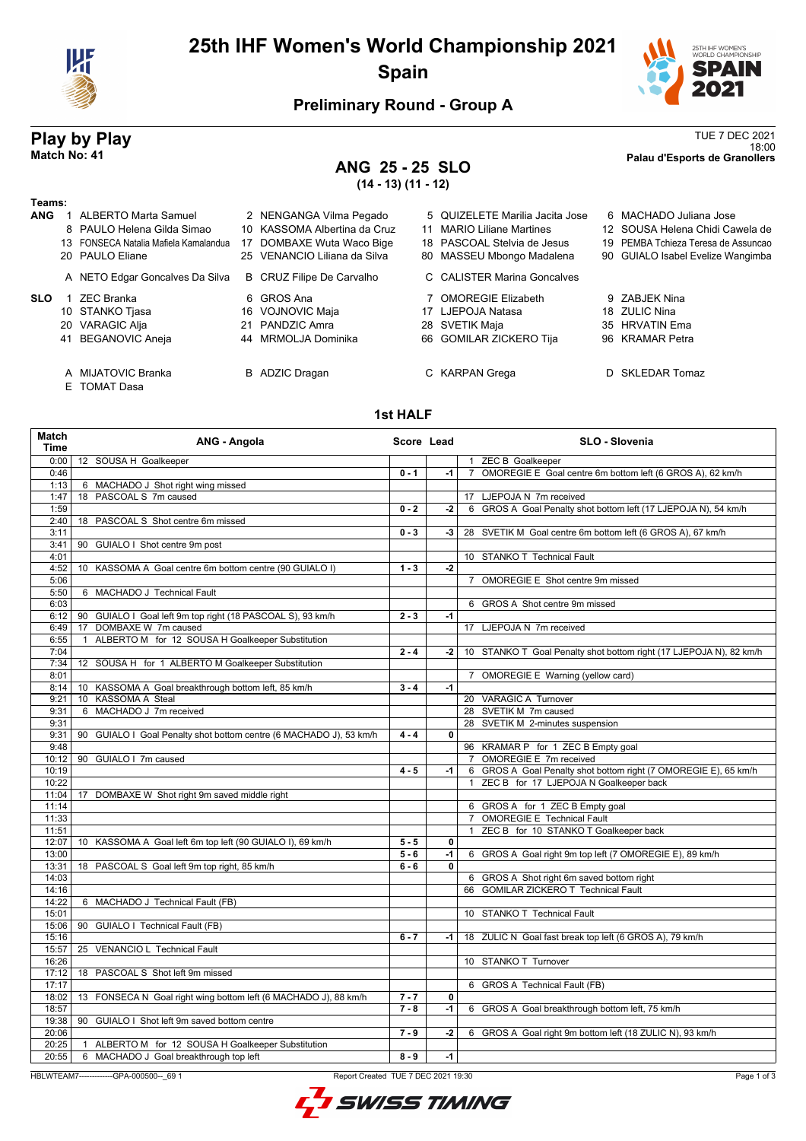

# **25th IHF Women's World Championship 2021 Spain**



# **Preliminary Round - Group A**

# **ANG 25 - 25 SLO (14 - 13) (11 - 12)**

**Play by Play**<br>Match No: 41<br>Palau d'Esports de Granollers 18:00 **Match No: 41 Palau d'Esports de Granollers**

## **Teams:**

| теантэ.    |                                       |                              |                                 |                                     |
|------------|---------------------------------------|------------------------------|---------------------------------|-------------------------------------|
| <b>ANG</b> | ALBERTO Marta Samuel                  | 2 NENGANGA Vilma Pegado      | 5 QUIZELETE Marilia Jacita Jose | 6 MACHADO Juliana Jose              |
|            | 8 PAULO Helena Gilda Simao            | 10 KASSOMA Albertina da Cruz | 11 MARIO Liliane Martines       | 12 SOUSA Helena Chidi Cawela de     |
|            | 13 FONSECA Natalia Mafiela Kamalandua | 17 DOMBAXE Wuta Waco Bige    | 18 PASCOAL Stelvia de Jesus     | 19 PEMBA Tchieza Teresa de Assuncad |
|            | 20 PAULO Eliane                       | 25 VENANCIO Liliana da Silva | 80 MASSEU Mbongo Madalena       | 90 GUIALO Isabel Evelize Wangimba   |
|            | A NETO Edgar Goncalves Da Silva       | B CRUZ Filipe De Carvalho    | C CALISTER Marina Goncalves     |                                     |
| <b>SLO</b> | ZEC Branka                            | 6 GROS Ana                   | 7 OMOREGIE Elizabeth            | 9 ZABJEK Nina                       |
|            | 10 STANKO Tjasa                       | 16 VOJNOVIC Maja             | 17 LJEPOJA Natasa               | 18 ZULIC Nina                       |
|            | 20 VARAGIC Alja                       | 21 PANDZIC Amra              | 28 SVETIK Maja                  | 35 HRVATIN Ema                      |
|            | 41 BEGANOVIC Aneja                    | 44 MRMOLJA Dominika          | 66 GOMILAR ZICKERO Tija         | 96 KRAMAR Petra                     |

E TOMAT Dasa

# **1st HALF**

A MIJATOVIC Branka B ADZIC Dragan C KARPAN Grega D SKLEDAR Tomaz

| Match<br>Time      | ANG - Angola                                                       | Score Lead |      | <b>SLO - Slovenia</b>                                              |
|--------------------|--------------------------------------------------------------------|------------|------|--------------------------------------------------------------------|
| 0:001              | 12 SOUSA H Goalkeeper                                              |            |      | 1 ZEC B Goalkeeper                                                 |
| 0:46               |                                                                    | $0 - 1$    | -1   | 7 OMOREGIE E Goal centre 6m bottom left (6 GROS A), 62 km/h        |
| 1:13               | 6 MACHADO J Shot right wing missed                                 |            |      |                                                                    |
| 1:47               | 18 PASCOAL S 7m caused                                             |            |      | 17 LJEPOJA N 7m received                                           |
| 1:59               |                                                                    | $0 - 2$    | -2   | 6 GROS A Goal Penalty shot bottom left (17 LJEPOJA N), 54 km/h     |
| 2:40               | 18 PASCOAL S Shot centre 6m missed                                 |            |      |                                                                    |
| 3:11               |                                                                    | $0 - 3$    | $-3$ | 28 SVETIK M Goal centre 6m bottom left (6 GROS A), 67 km/h         |
| 3:41               | 90 GUIALO I Shot centre 9m post                                    |            |      |                                                                    |
| 4:01               |                                                                    |            |      | 10 STANKO T Technical Fault                                        |
| 4:52               | 10 KASSOMA A Goal centre 6m bottom centre (90 GUIALO I)            | $1 - 3$    | $-2$ |                                                                    |
| 5:06               |                                                                    |            |      | 7 OMOREGIE E Shot centre 9m missed                                 |
| 5:50               | 6 MACHADO J Technical Fault                                        |            |      |                                                                    |
| 6:03               |                                                                    |            |      | 6 GROS A Shot centre 9m missed                                     |
| 6:12               | 90 GUIALO I Goal left 9m top right (18 PASCOAL S), 93 km/h         | $2 - 3$    | $-1$ |                                                                    |
| 6:49               | 17 DOMBAXE W 7m caused                                             |            |      | 17 LJEPOJA N 7m received                                           |
| 6:55               | ALBERTO M for 12 SOUSA H Goalkeeper Substitution<br>$\mathbf{1}$   |            |      |                                                                    |
| 7:04               |                                                                    | $2 - 4$    | -2   | 10 STANKO T Goal Penalty shot bottom right (17 LJEPOJA N), 82 km/h |
| 7:34               | 12 SOUSA H for 1 ALBERTO M Goalkeeper Substitution                 |            |      |                                                                    |
| 8:01               |                                                                    |            |      | 7 OMOREGIE E Warning (yellow card)                                 |
| 8:14               | 10 KASSOMA A Goal breakthrough bottom left, 85 km/h                | $3 - 4$    | $-1$ |                                                                    |
| 9:21               | 10 KASSOMA A Steal                                                 |            |      | 20 VARAGIC A Turnover                                              |
| 9:31               | 6 MACHADO J 7m received                                            |            |      | 28 SVETIK M 7m caused                                              |
| 9:31               |                                                                    |            |      | 28 SVETIK M 2-minutes suspension                                   |
| 9:31               | 90 GUIALO I Goal Penalty shot bottom centre (6 MACHADO J), 53 km/h | $4 - 4$    | 0    |                                                                    |
| 9:48               |                                                                    |            |      | 96 KRAMAR P for 1 ZEC B Empty goal                                 |
| 10:12              | 90 GUIALO I 7m caused                                              |            |      | 7 OMOREGIE E 7m received                                           |
| 10:19              |                                                                    | $4 - 5$    | $-1$ | 6 GROS A Goal Penalty shot bottom right (7 OMOREGIE E), 65 km/h    |
| 10:22              |                                                                    |            |      | ZEC B for 17 LJEPOJA N Goalkeeper back<br>$\mathbf{1}$             |
| 11:04              | 17 DOMBAXE W Shot right 9m saved middle right                      |            |      |                                                                    |
| 11:14              |                                                                    |            |      | 6 GROS A for 1 ZEC B Empty goal                                    |
| 11:33              |                                                                    |            |      | 7 OMOREGIE E Technical Fault                                       |
| 11:51              |                                                                    |            |      | 1 ZEC B for 10 STANKO T Goalkeeper back                            |
| 12:07              | 10 KASSOMA A Goal left 6m top left (90 GUIALO I), 69 km/h          | $5 - 5$    | 0    |                                                                    |
| 13:00              |                                                                    | $5 - 6$    | $-1$ | 6 GROS A Goal right 9m top left (7 OMOREGIE E), 89 km/h            |
| 13:31              | 18 PASCOAL S Goal left 9m top right, 85 km/h                       | $6 - 6$    | 0    |                                                                    |
| 14:03              |                                                                    |            |      | 6 GROS A Shot right 6m saved bottom right                          |
| $\overline{1}4:16$ |                                                                    |            |      | 66 GOMILAR ZICKERO T Technical Fault                               |
| 14:22              | 6 MACHADO J Technical Fault (FB)                                   |            |      |                                                                    |
| 15:01              |                                                                    |            |      | 10 STANKO T Technical Fault                                        |
| 15:06              | 90 GUIALO I Technical Fault (FB)                                   |            |      |                                                                    |
| 15:16              |                                                                    | $6 - 7$    | -1   | 18 ZULIC N Goal fast break top left (6 GROS A), 79 km/h            |
| 15:57              | 25 VENANCIO L Technical Fault                                      |            |      |                                                                    |
| 16:26              |                                                                    |            |      | 10 STANKO T Turnover                                               |
| 17:12              | 18 PASCOAL S Shot left 9m missed                                   |            |      |                                                                    |
| 17:17              |                                                                    |            |      | 6 GROS A Technical Fault (FB)                                      |
| 18:02              | 13 FONSECA N Goal right wing bottom left (6 MACHADO J), 88 km/h    | $7 - 7$    | 0    |                                                                    |
| 18:57              |                                                                    | $7 - 8$    | -1   | 6 GROS A Goal breakthrough bottom left, 75 km/h                    |
| 19:38              | 90 GUIALO I Shot left 9m saved bottom centre                       |            |      |                                                                    |
| 20:06              |                                                                    | $7 - 9$    | -2   | 6 GROS A Goal right 9m bottom left (18 ZULIC N), 93 km/h           |
| 20:25              | 1 ALBERTO M for 12 SOUSA H Goalkeeper Substitution                 |            |      |                                                                    |
| 20:55              | 6 MACHADO J Goal breakthrough top left                             | $8 - 9$    | $-1$ |                                                                    |
|                    |                                                                    |            |      |                                                                    |

### HBLWTEAM7-------------GPA-000500--\_69 1 Report Created TUE 7 DEC 2021 19:30

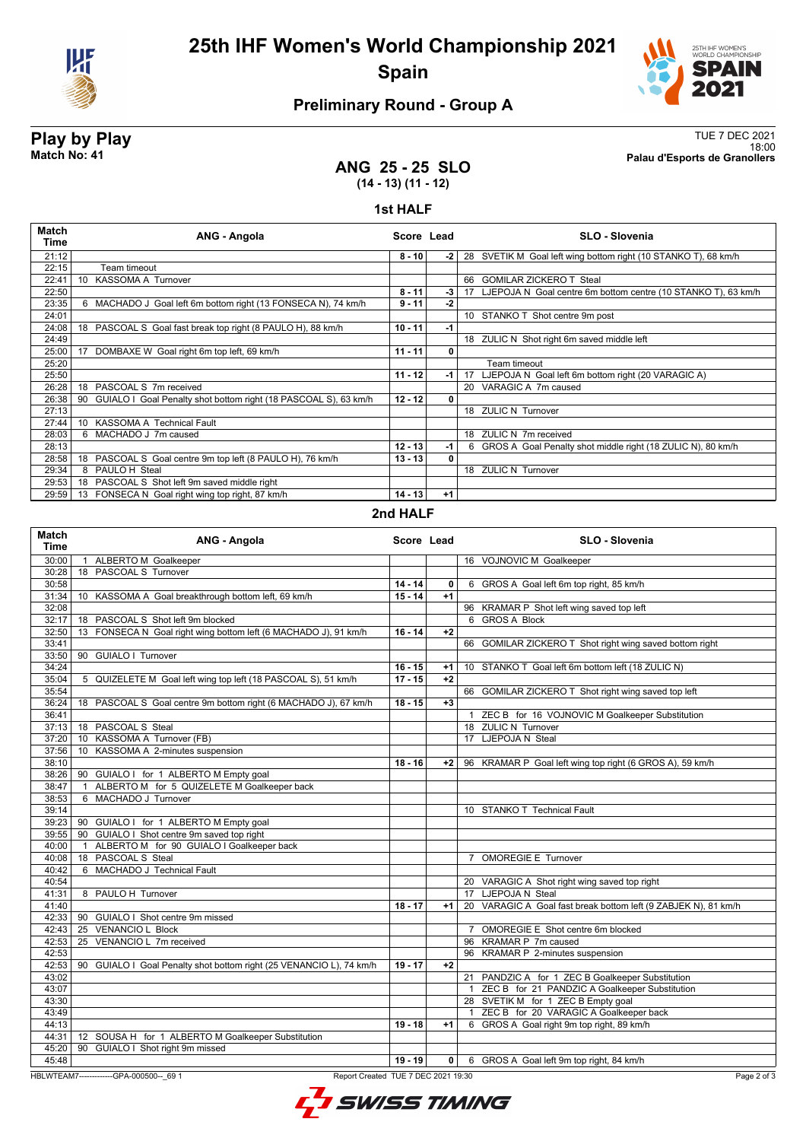

# **25th IHF Women's World Championship 2021 Spain**



# **Preliminary Round - Group A**

**Play by Play**<br>Match No: 41<br>Palau d'Esports de Granollers 18:00 **Match No: 41 Palau d'Esports de Granollers**

## **ANG 25 - 25 SLO (14 - 13) (11 - 12)**

### **1st HALF**

| Match<br>Time | ANG - Angola                                                       | Score Lead |      | <b>SLO - Slovenia</b>                                            |
|---------------|--------------------------------------------------------------------|------------|------|------------------------------------------------------------------|
| 21:12         |                                                                    | $8 - 10$   | -2   | 28 SVETIK M Goal left wing bottom right (10 STANKO T), 68 km/h   |
| 22:15         | Team timeout                                                       |            |      |                                                                  |
| 22:41         | 10 KASSOMA A Turnover                                              |            |      | 66 GOMILAR ZICKERO T Steal                                       |
| 22:50         |                                                                    | $8 - 11$   | $-3$ | 17 LJEPOJA N Goal centre 6m bottom centre (10 STANKO T), 63 km/h |
| 23:35         | 6 MACHADO J Goal left 6m bottom right (13 FONSECA N), 74 km/h      | $9 - 11$   | -2   |                                                                  |
| 24:01         |                                                                    |            |      | 10 STANKO T Shot centre 9m post                                  |
| 24:08         | 18 PASCOAL S Goal fast break top right (8 PAULO H), 88 km/h        | $10 - 11$  | -1   |                                                                  |
| 24:49         |                                                                    |            |      | 18 ZULIC N Shot right 6m saved middle left                       |
| 25:00         | DOMBAXE W Goal right 6m top left, 69 km/h<br>17                    | $11 - 11$  | 0    |                                                                  |
| 25:20         |                                                                    |            |      | Team timeout                                                     |
| 25:50         |                                                                    | $11 - 12$  | -1 l | 17 LJEPOJA N Goal left 6m bottom right (20 VARAGIC A)            |
| 26:28         | 18 PASCOAL S 7m received                                           |            |      | 20 VARAGIC A 7m caused                                           |
| 26:38         | 90 GUIALO I Goal Penalty shot bottom right (18 PASCOAL S), 63 km/h | $12 - 12$  | 0    |                                                                  |
| 27:13         |                                                                    |            |      | 18 ZULIC N Turnover                                              |
| 27:44         | 10 KASSOMA A Technical Fault                                       |            |      |                                                                  |
| 28:03         | 6 MACHADO J 7m caused                                              |            |      | 18 ZULIC N 7m received                                           |
| 28:13         |                                                                    | $12 - 13$  | -1   | 6 GROS A Goal Penalty shot middle right (18 ZULIC N), 80 km/h    |
| 28:58         | PASCOAL S Goal centre 9m top left (8 PAULO H), 76 km/h<br>18       | $13 - 13$  | 0    |                                                                  |
| 29:34         | 8 PAULO H Steal                                                    |            |      | 18 ZULIC N Turnover                                              |
| 29:53         | 18 PASCOAL S Shot left 9m saved middle right                       |            |      |                                                                  |
| 29:59         | 13 FONSECA N Goal right wing top right, 87 km/h                    | 14 - 13    | $+1$ |                                                                  |

## **2nd HALF**

| <b>Match</b><br><b>Time</b> | ANG - Angola                                                                   | Score Lead |      |                | SLO - Slovenia                                                 |
|-----------------------------|--------------------------------------------------------------------------------|------------|------|----------------|----------------------------------------------------------------|
| 30:00                       | 1 ALBERTO M Goalkeeper                                                         |            |      |                | 16 VOJNOVIC M Goalkeeper                                       |
| 30:28                       | 18 PASCOAL S Turnover                                                          |            |      |                |                                                                |
| 30:58                       |                                                                                | $14 - 14$  | 0    | 6              | GROS A Goal left 6m top right, 85 km/h                         |
| 31:34                       | 10 KASSOMA A Goal breakthrough bottom left, 69 km/h                            | $15 - 14$  | $+1$ |                |                                                                |
| 32:08                       |                                                                                |            |      |                | 96 KRAMAR P Shot left wing saved top left                      |
| 32:17                       | 18 PASCOAL S Shot left 9m blocked                                              |            |      |                | 6 GROS A Block                                                 |
| 32:50                       | 13 FONSECA N Goal right wing bottom left (6 MACHADO J), 91 km/h                | $16 - 14$  | $+2$ |                |                                                                |
| 33:41                       |                                                                                |            |      | 66             | GOMILAR ZICKERO T Shot right wing saved bottom right           |
| 33:50                       | 90 GUIALO I Turnover                                                           |            |      |                |                                                                |
| 34:24                       |                                                                                | $16 - 15$  | $+1$ |                | 10 STANKO T Goal left 6m bottom left (18 ZULIC N)              |
| 35:04                       | 5 QUIZELETE M Goal left wing top left (18 PASCOAL S), 51 km/h                  | $17 - 15$  | $+2$ |                |                                                                |
| 35:54                       |                                                                                |            |      |                | 66 GOMILAR ZICKERO T Shot right wing saved top left            |
| 36:24                       | 18 PASCOAL S Goal centre 9m bottom right (6 MACHADO J), 67 km/h                | $18 - 15$  | $+3$ |                |                                                                |
| 36:41                       |                                                                                |            |      |                | ZEC B for 16 VOJNOVIC M Goalkeeper Substitution                |
|                             | 37:13 18 PASCOAL S Steal                                                       |            |      |                | 18 ZULIC N Turnover                                            |
| 37:20                       | 10 KASSOMA A Turnover (FB)                                                     |            |      |                | 17 LJEPOJA N Steal                                             |
| 37:56                       | KASSOMA A 2-minutes suspension<br>10                                           |            |      |                |                                                                |
| 38:10                       |                                                                                | $18 - 16$  | $+2$ |                | 96 KRAMAR P Goal left wing top right (6 GROS A), 59 km/h       |
| 38:26                       | 90 GUIALO I for 1 ALBERTO M Empty goal                                         |            |      |                |                                                                |
| 38:47                       | 1 ALBERTO M for 5 QUIZELETE M Goalkeeper back                                  |            |      |                |                                                                |
| 38:53                       | 6 MACHADO J Turnover                                                           |            |      |                |                                                                |
| 39:14                       |                                                                                |            |      |                | 10 STANKO T Technical Fault                                    |
|                             | 39:23   90 GUIALO I for 1 ALBERTO M Empty goal                                 |            |      |                |                                                                |
| 39:55                       | 90 GUIALO I Shot centre 9m saved top right                                     |            |      |                |                                                                |
| 40:00                       | 1 ALBERTO M for 90 GUIALO I Goalkeeper back                                    |            |      |                |                                                                |
| 40:08                       | 18 PASCOAL S Steal                                                             |            |      | $\overline{7}$ | <b>OMOREGIE E Turnover</b>                                     |
| 40:42                       | 6 MACHADO J Technical Fault                                                    |            |      |                |                                                                |
| 40:54                       |                                                                                |            |      |                | 20 VARAGIC A Shot right wing saved top right                   |
| 41:31                       | 8 PAULO H Turnover                                                             |            |      |                | 17 LJEPOJA N Steal                                             |
| 41:40                       |                                                                                | $18 - 17$  | $+1$ |                | 20 VARAGIC A Goal fast break bottom left (9 ZABJEK N), 81 km/h |
|                             | 42:33 90 GUIALO I Shot centre 9m missed                                        |            |      |                |                                                                |
| 42:43                       | 25 VENANCIO L Block                                                            |            |      |                | 7 OMOREGIE E Shot centre 6m blocked                            |
| 42:53                       | 25 VENANCIO L 7m received                                                      |            |      |                | 96 KRAMAR P 7m caused                                          |
| 42:53                       |                                                                                |            |      |                | 96 KRAMAR P 2-minutes suspension                               |
| 42:53                       | 90 GUIALO I Goal Penalty shot bottom right (25 VENANCIO L), 74 km/h            | $19 - 17$  | $+2$ |                |                                                                |
| 43:02                       |                                                                                |            |      |                | 21 PANDZIC A for 1 ZEC B Goalkeeper Substitution               |
| 43:07                       |                                                                                |            |      | $\mathbf{1}$   | ZEC B for 21 PANDZIC A Goalkeeper Substitution                 |
| 43:30                       |                                                                                |            |      |                | 28 SVETIK M for 1 ZEC B Empty goal                             |
| 43:49                       |                                                                                |            |      | $\mathbf{1}$   | ZEC B for 20 VARAGIC A Goalkeeper back                         |
| 44:13                       |                                                                                | $19 - 18$  | $+1$ |                | 6 GROS A Goal right 9m top right, 89 km/h                      |
| 44:31                       | 12 SOUSA H for 1 ALBERTO M Goalkeeper Substitution                             |            |      |                |                                                                |
| 45:20                       | 90 GUIALO I Shot right 9m missed                                               |            |      |                |                                                                |
| 45:48                       |                                                                                | $19 - 19$  | 0    |                | 6 GROS A Goal left 9m top right, 84 km/h                       |
|                             |                                                                                |            |      |                |                                                                |
|                             | HBLWTEAM7-------------GPA-000500-- 69 1<br>Report Created TUE 7 DEC 2021 19:30 |            |      |                | Page 2 of 3                                                    |